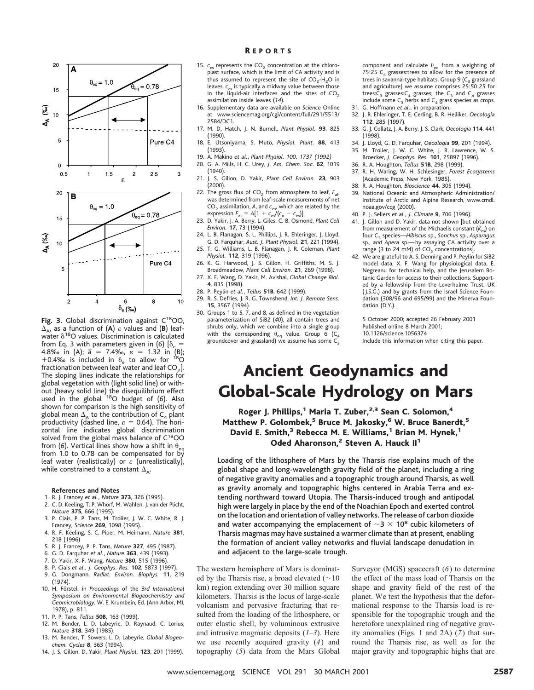

Fig. 3. Global discrimination against C<sup>18</sup>OO,  $\Delta_{\mathbf{A}}$ , as a function of (A)  $\varepsilon$  values and (B) leafwater  $\delta^{18}O$  values. Discrimination is calculated from Eq. 3 with parameters given in (6)  $\delta_{\alpha}$  = 4.8‰ in (A);  $\bar{a} = 7.4%$ ,  $\bar{\varepsilon} = 1.32$  in (B); +0.4‰ is included in  $\delta_e$  to allow for <sup>18</sup>O fractionation between leaf water and leaf  $CO<sub>2</sub>$ ]. The sloping lines indicate the relationships for global vegetation with (light solid line) or without (heavy solid line) the disequilibrium effect used in the global 18O budget of (*6*). Also shown for comparison is the high sensitivity of global mean  $\Delta_{\rm A}$  to the contribution of  ${\sf C}_4$  plant productivity (dashed line,  $\varepsilon = 0.64$ ). The horizontal line indicates global discrimination solved from the global mass balance of C<sup>18</sup>OO from (6). Vertical lines show how a shift in  $\theta_{\rm eq}$ <br>from 1.0 to 0.78 can be compensated for by leaf water (realistically) or  $\varepsilon$  (unrealistically), while constrained to a constant  $\Delta_{\mathbf{A}}$ .

### **References and Notes**

- 1. R. J. Francey *et al.*, *Nature* **373**, 326 (1995).
- 2. C. D. Keeling, T. P. Whorf, M. Wahlen, J. van der Plicht, *Nature* **375**, 666 (1995).
- 3. P. Ciais, P. P. Tans, M. Trolier, J. W. C. White, R. J. Francey, *Science* **269**, 1098 (1995).
- 4. R. F. Keeling, S. C. Piper, M. Heimann, *Nature* **381**, 218 (1996)
- 5. R. J. Francey, P. P. Tans, *Nature* **327**, 495 (1987).
- 6. G. D. Farquhar *et al.*, *Nature* **363**, 439 (1993).
- 7. D. Yakir, X. F. Wang, *Nature* **380**, 515 (1996).
- 8. P. Ciais *et al.*, *J. Geophys. Res.* **102**, 5873 (1997).
- 9. G. Dongmann, *Radiat. Environ. Biophys.* **11**, 219 (1974).
- 10. H. Fo¨rstel, in *Proceedings* of the *3rd International Symposium on Environmental Biogeochemistry and Geomicrobiology*, W. E. Krumbein, Ed. (Ann Arbor, MI, 1978), p. 811.
- 11. P. P. Tans, *Tellus* **50B**, 163 (1999).
- 12. M. Bender, L. D. Labeyrie, D. Raynaud, C. Lorius, *Nature* **318**, 349 (1985).
- 13. M. Bender, T. Sowers, L. D. Labeyrie, *Global Biogeochem. Cycles* **8**, 363 (1994).
- 14. J. S. Gillon, D. Yakir, *Plant Physiol.* **123**, 201 (1999).

## R EPORTS

- 15.  $c_{cs}$  represents the  $CO<sub>2</sub>$  concentration at the chloroplast surface, which is the limit of CA activity and is thus assumed to represent the site of  $CO_2-H_2O$  in leaves.  $c_{cs}$  is typically a midway value between those in the liquid-air interfaces and the sites of  $CO<sub>2</sub>$ assimilation inside leaves (*14*).
- 16. Supplementary data are available on *Science* Online at www.sciencemag.org/cgi/content/full/291/5513/ 2584/DC1.
- 17. M. D. Hatch, J. N. Burnell, *Plant Physiol.* **93**, 825 (1990).
- 18. E. Utsoniyama, S. Muto, *Physiol. Plant.* **88**, 413 (1993).
- 19. A. Makino *et al.*, *Plant Physiol. 100, 1737 (1992)* 20. G. A. Mills, H. C. Urey, *J. Am. Chem. Soc.* **62**, 1019  $(1940)$
- 21. J. S. Gillon, D. Yakir, *Plant Cell Environ.* **23**, 903 (2000).
- 22. The gross flux of  $CO<sub>2</sub>$  from atmosphere to leaf,  $F<sub>al</sub>$ , was determined from leaf-scale measurements of net CO<sub>2</sub> assimilation, A, and  $c_{cs}$ , which are related by the expression  $F_{\text{al}} = A[1 + c_{\text{cs}}/(c_{\text{a}} - c_{\text{cs}})].$
- 23. D. Yakir, J. A. Berry, L. Giles, C. B. Osmond, *Plant Cell Environ.* **17**, 73 (1994).
- 24. L. B. Flanagan, S. L. Phillips, J. R. Ehleringer, J. Lloyd, G. D. Farquhar, *Aust. J. Plant Physiol.* **21**, 221 (1994).
- 25. T. G. Williams, L. B. Flanagan, J. R. Coleman, *Plant Physiol.* **112**, 319 (1996).
- 26. K. G. Harwood, J. S. Gillon, H. Griffiths, M. S. J. Broadmeadow, *Plant Cell Environ.* **21**, 269 (1998).
- 27. X. F. Wang, D. Yakir, M. Avishai, *Global Change Biol.* **4**, 835 (1998).
- 28. P. Peylin *et al.*, *Tellus* **51B**, 642 (1999).
- 29. R. S. Defries, J. R. G. Townshend, *Int. J. Remote Sens.* **15**, 3567 (1994).
- 30. Groups 1 to 5, 7, and 8, as defined in the vegetation parameterization of SiB2 (*40*), all contain trees and shrubs only, which we combine into a single group with the corresponding  $\theta_{\text{eq}}$  value. Group 6 (C<sub>4</sub> groundcover and grassland) we assume has some  $\mathsf{C}_\mathsf{3}$

component and calculate  $\theta_{eq}$  from a weighting of 75:25  $C_4$  grasses:trees to allow for the presence of trees in savanna-type habitats. Group 9 ( $C_3$  grassland and agriculture) we assume comprises 25:50:25 for trees: $C_3$  grasses: $C_4$  grasses; the  $C_3$  and  $C_4$  grasses include some  $C_3$  herbs and  $C_4$  grass species as crops.

- 31. G. Hoffmann *et al.*, in preparation.
- 32. J. R. Ehleringer, T. E. Cerling, B. R. Helliker, *Oecologia* **112**, 285 (1997).
- 33. G. J. Collatz, J. A. Berry, J. S. Clark, *Oecologia* **114**, 441 (1998).
- 34. J. Lloyd, G. D. Farquhar, *Oecologia* **99**, 201 (1994).
	- 35. M. Trolier, J. W. C. White, J. R. Lawrence, W. S. Broecker, *J. Geophys. Res.* **101**, 25897 (1996).
	- 36. R. A. Houghton, *Tellus* **51B**, 298 (1999).
- 37. R. H. Waring, W. H. Schlesinger, *Forest Ecosystems*
- (Academic Press, New York, 1985).
- 38. R. A. Houghton, *Bioscience* **44**, 305 (1994).
- National Oceanic and Atmospheric Administration/ Institute of Arctic and Alpine Research, www.cmdl. noaa.gov/ccg (2000).
- 40. P. J. Sellers *et al.*, *J. Climate* **9**, 706 (1996).
- 41. J. Gillon and D. Yakir, data not shown [but obtained from measurement of the Michaelis constant  $(K_m)$  on four C3 species—*Hibiscus* sp., *Sonchus* sp., *Asparagus* sp., *and Apera* sp.—by assaying CA activity over a range (3 to 24 mM) of  $CO<sub>2</sub>$  concentrations].
- 42. We are grateful to A. S. Denning and P. Peylin for SiB2 model data, X. F. Wang for physiological data, E. Negreanu for technical help, and the Jerusalem Botanic Garden for access to their collections. Supported by a fellowship from the Leverhulme Trust, UK (J.S.G.) and by grants from the Israel Science Foundation (308/96 and 695/99) and the Minerva Foundation (D.Y.).

5 October 2000; accepted 26 February 2001 Published online 8 March 2001; 10.1126/science.1056374 Include this information when citing this paper.

# Ancient Geodynamics and Global-Scale Hydrology on Mars

Roger J. Phillips,<sup>1</sup> Maria T. Zuber,<sup>2,3</sup> Sean C. Solomon,<sup>4</sup> Matthew P. Golombek,<sup>5</sup> Bruce M. Jakosky,<sup>6</sup> W. Bruce Banerdt,<sup>5</sup> David E. Smith,<sup>3</sup> Rebecca M. E. Williams,<sup>1</sup> Brian M. Hynek,<sup>1</sup> Oded Aharonson,<sup>2</sup> Steven A. Hauck II<sup>1</sup>

Loading of the lithosphere of Mars by the Tharsis rise explains much of the global shape and long-wavelength gravity field of the planet, including a ring of negative gravity anomalies and a topographic trough around Tharsis, as well as gravity anomaly and topographic highs centered in Arabia Terra and extending northward toward Utopia. The Tharsis-induced trough and antipodal high were largely in place by the end of the Noachian Epoch and exerted control on the location and orientation of valley networks. The release of carbon dioxide and water accompanying the emplacement of  $\sim$ 3  $\times$  10<sup>8</sup> cubic kilometers of Tharsis magmas may have sustained a warmer climate than at present, enabling the formation of ancient valley networks and fluvial landscape denudation in and adjacent to the large-scale trough.

The western hemisphere of Mars is dominated by the Tharsis rise, a broad elevated  $(\sim10$ km) region extending over 30 million square kilometers. Tharsis is the locus of large-scale volcanism and pervasive fracturing that resulted from the loading of the lithosphere, or outer elastic shell, by voluminous extrusive and intrusive magmatic deposits (*1*–*3*). Here we use recently acquired gravity (*4*) and topography (*5*) data from the Mars Global

Surveyor (MGS) spacecraft (*6*) to determine the effect of the mass load of Tharsis on the shape and gravity field of the rest of the planet. We test the hypothesis that the deformational response to the Tharsis load is responsible for the topographic trough and the heretofore unexplained ring of negative gravity anomalies (Figs. 1 and 2A) (*7*) that surround the Tharsis rise, as well as for the major gravity and topographic highs that are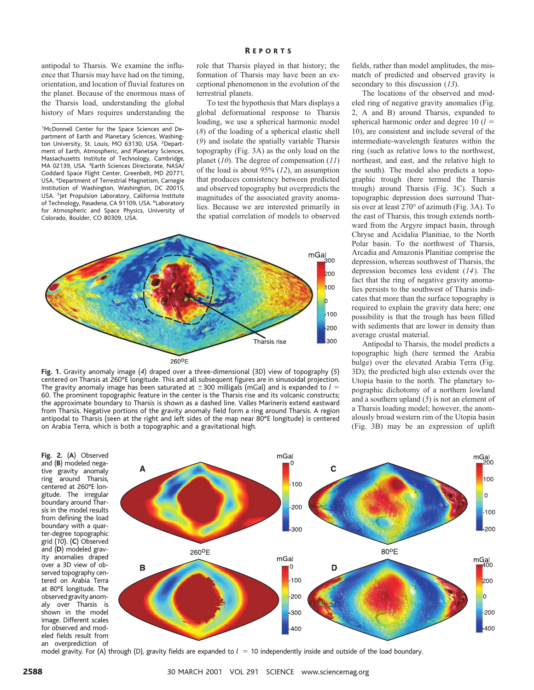antipodal to Tharsis. We examine the influence that Tharsis may have had on the timing, orientation, and location of fluvial features on the planet. Because of the enormous mass of the Tharsis load, understanding the global history of Mars requires understanding the

<sup>1</sup>McDonnell Center for the Space Sciences and Department of Earth and Planetary Sciences, Washington University, St. Louis, MO 63130, USA. <sup>2</sup>Department of Earth, Atmospheric, and Planetary Sciences, Massachusetts Institute of Technology, Cambridge, MA 02139, USA. <sup>3</sup>Earth Sciences Directorate, NASA/ Goddard Space Flight Center, Greenbelt, MD 20771, USA. <sup>4</sup> Department of Terrestrial Magnetism, Carnegie Institution of Washington, Washington, DC 20015, USA. <sup>5</sup> Jet Propulsion Laboratory, California Institute of Technology, Pasadena, CA 91109, USA. <sup>6</sup>Laboratory for Atmospheric and Space Physics, University of Colorado, Boulder, CO 80309, USA.

# R EPORTS

role that Tharsis played in that history; the formation of Tharsis may have been an exceptional phenomenon in the evolution of the terrestrial planets.

To test the hypothesis that Mars displays a global deformational response to Tharsis loading, we use a spherical harmonic model (*8*) of the loading of a spherical elastic shell (*9*) and isolate the spatially variable Tharsis topography (Fig. 3A) as the only load on the planet (*10*). The degree of compensation (*11*) of the load is about 95% (*12*), an assumption that produces consistency between predicted and observed topography but overpredicts the magnitudes of the associated gravity anomalies. Because we are interested primarily in the spatial correlation of models to observed



**Fig. 1.** Gravity anomaly image (*4*) draped over a three-dimensional (3D) view of topography (*5*) centered on Tharsis at 260°E longitude. This and all subsequent figures are in sinusoidal projection. The gravity anomaly image has been saturated at  $\pm 300$  milligals (mGal) and is expanded to  $l =$ 60. The prominent topographic feature in the center is the Tharsis rise and its volcanic constructs; the approximate boundary to Tharsis is shown as a dashed line. Valles Marineris extend eastward from Tharsis. Negative portions of the gravity anomaly field form a ring around Tharsis. A region antipodal to Tharsis (seen at the right and left sides of the map near 80°E longitude) is centered on Arabia Terra, which is both a topographic and a gravitational high.

fields, rather than model amplitudes, the mismatch of predicted and observed gravity is secondary to this discussion (*13*).

The locations of the observed and modeled ring of negative gravity anomalies (Fig. 2, A and B) around Tharsis, expanded to spherical harmonic order and degree  $10 (l =$ 10), are consistent and include several of the intermediate-wavelength features within the ring (such as relative lows to the northwest, northeast, and east, and the relative high to the south). The model also predicts a topographic trough (here termed the Tharsis trough) around Tharsis (Fig. 3C). Such a topographic depression does surround Tharsis over at least 270° of azimuth (Fig. 3A). To the east of Tharsis, this trough extends northward from the Argyre impact basin, through Chryse and Acidalia Planitiae, to the North Polar basin. To the northwest of Tharsis, Arcadia and Amazonis Planitiae comprise the depression, whereas southwest of Tharsis, the depression becomes less evident (*14*). The fact that the ring of negative gravity anomalies persists to the southwest of Tharsis indicates that more than the surface topography is required to explain the gravity data here; one possibility is that the trough has been filled with sediments that are lower in density than average crustal material.

Antipodal to Tharsis, the model predicts a topographic high (here termed the Arabia bulge) over the elevated Arabia Terra (Fig. 3D); the predicted high also extends over the Utopia basin to the north. The planetary topographic dichotomy of a northern lowland and a southern upland (*5*) is not an element of a Tharsis loading model; however, the anomalously broad western rim of the Utopia basin (Fig. 3B) may be an expression of uplift

**Fig. 2.** (**A**) Observed and (**B**) modeled negative gravity anomaly ring around Tharsis, centered at 260°E longitude. The irregular boundary around Tharsis in the model results from defining the load boundary with a quarter-degree topographic grid (*10*). (**C**) Observed and (**D**) modeled gravity anomalies draped over a 3D view of observed topography centered on Arabia Terra at 80°E longitude. The observedgravityanomaly over Tharsis is shown in the model image. Different scales for observed and modeled fields result from an overprediction of



model gravity. For (A) through (D), gravity fields are expanded to  $l = 10$  independently inside and outside of the load boundary.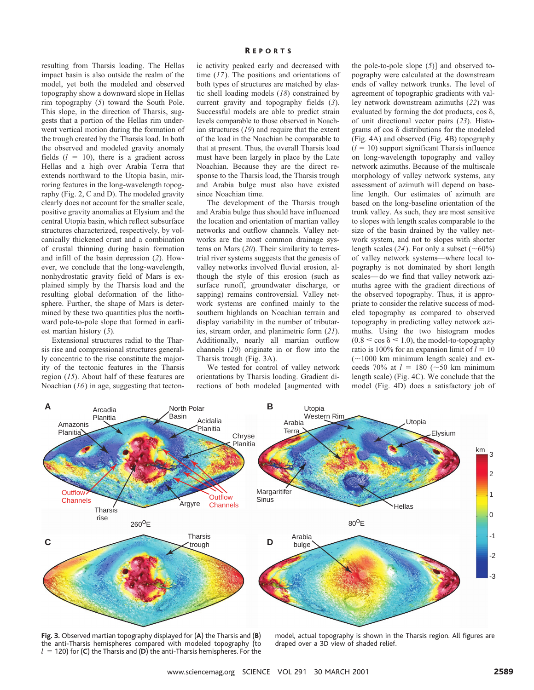resulting from Tharsis loading. The Hellas impact basin is also outside the realm of the model, yet both the modeled and observed topography show a downward slope in Hellas rim topography (*5*) toward the South Pole. This slope, in the direction of Tharsis, suggests that a portion of the Hellas rim underwent vertical motion during the formation of the trough created by the Tharsis load. In both the observed and modeled gravity anomaly fields  $(l = 10)$ , there is a gradient across Hellas and a high over Arabia Terra that extends northward to the Utopia basin, mirroring features in the long-wavelength topography (Fig. 2, C and D). The modeled gravity clearly does not account for the smaller scale, positive gravity anomalies at Elysium and the central Utopia basin, which reflect subsurface structures characterized, respectively, by volcanically thickened crust and a combination of crustal thinning during basin formation and infill of the basin depression (*2*). However, we conclude that the long-wavelength, nonhydrostatic gravity field of Mars is explained simply by the Tharsis load and the resulting global deformation of the lithosphere. Further, the shape of Mars is determined by these two quantities plus the northward pole-to-pole slope that formed in earliest martian history (*5*).

Extensional structures radial to the Tharsis rise and compressional structures generally concentric to the rise constitute the majority of the tectonic features in the Tharsis region (*15*). About half of these features are Noachian (*16*) in age, suggesting that tectonic activity peaked early and decreased with time (*17*). The positions and orientations of both types of structures are matched by elastic shell loading models (*18*) constrained by current gravity and topography fields (*3*). Successful models are able to predict strain levels comparable to those observed in Noachian structures (*19*) and require that the extent of the load in the Noachian be comparable to that at present. Thus, the overall Tharsis load must have been largely in place by the Late Noachian. Because they are the direct response to the Tharsis load, the Tharsis trough and Arabia bulge must also have existed since Noachian time.

The development of the Tharsis trough and Arabia bulge thus should have influenced the location and orientation of martian valley networks and outflow channels. Valley networks are the most common drainage systems on Mars (*20*). Their similarity to terrestrial river systems suggests that the genesis of valley networks involved fluvial erosion, although the style of this erosion (such as surface runoff, groundwater discharge, or sapping) remains controversial. Valley network systems are confined mainly to the southern highlands on Noachian terrain and display variability in the number of tributaries, stream order, and planimetric form (*21*). Additionally, nearly all martian outflow channels (*20*) originate in or flow into the Tharsis trough (Fig. 3A).

We tested for control of valley network orientations by Tharsis loading. Gradient directions of both modeled [augmented with

the pole-to-pole slope (*5*)] and observed topography were calculated at the downstream ends of valley network trunks. The level of agreement of topographic gradients with valley network downstream azimuths (*22*) was evaluated by forming the dot products,  $\cos \delta$ , of unit directional vector pairs (*23*). Histograms of cos  $\delta$  distributions for the modeled (Fig. 4A) and observed (Fig. 4B) topography  $(l = 10)$  support significant Tharsis influence on long-wavelength topography and valley network azimuths. Because of the multiscale morphology of valley network systems, any assessment of azimuth will depend on baseline length. Our estimates of azimuth are based on the long-baseline orientation of the trunk valley. As such, they are most sensitive to slopes with length scales comparable to the size of the basin drained by the valley network system, and not to slopes with shorter length scales (24). For only a subset ( $\sim 60\%$ ) of valley network systems—where local topography is not dominated by short length scales—do we find that valley network azimuths agree with the gradient directions of the observed topography. Thus, it is appropriate to consider the relative success of modeled topography as compared to observed topography in predicting valley network azimuths. Using the two histogram modes  $(0.8 \le \cos \delta \le 1.0)$ , the model-to-topography ratio is 100% for an expansion limit of  $l = 10$  $(-1000$  km minimum length scale) and exceeds 70% at  $l = 180$  ( $\sim$ 50 km minimum length scale) (Fig. 4C). We conclude that the model (Fig. 4D) does a satisfactory job of



**Fig. 3.** Observed martian topography displayed for (**A**) the Tharsis and (**B**) the anti-Tharsis hemispheres compared with modeled topography (to  $l = 120$ ) for (**C**) the Tharsis and (**D**) the anti-Tharsis hemispheres. For the

model, actual topography is shown in the Tharsis region. All figures are draped over a 3D view of shaded relief.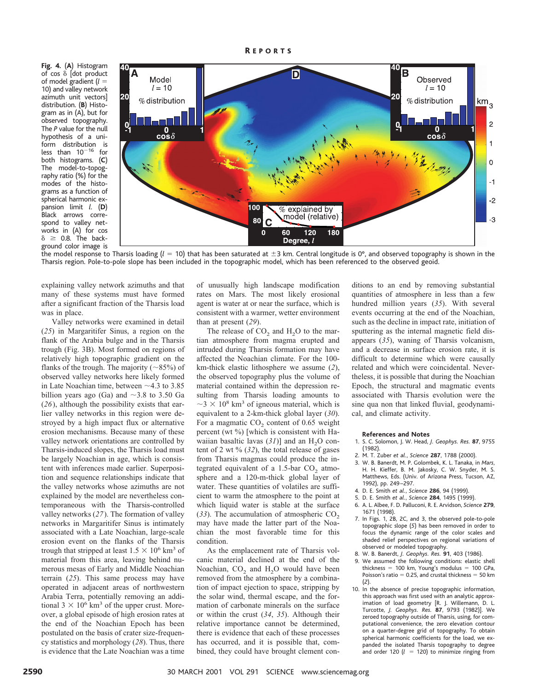**Fig. 4.** (**A**) Histogram of  $cos \delta$  [dot product of model gradient (*l* 5 10) and valley network azimuth unit vectors] distribution. (**B**) Histogram as in (A), but for observed topography. The *P* value for the null hypothesis of a uniform distribution is less than  $10^{-16}$  for both histograms. (**C**) The model-to-topography ratio (%) for the modes of the histograms as a function of spherical harmonic expansion limit *l*. (**D**) Black arrows correspond to valley networks in (A) for cos  $\delta$   $\geq$  0.8. The background color image is



the model response to Tharsis loading ( $l = 10$ ) that has been saturated at  $\pm 3$  km. Central longitude is 0°, and observed topography is shown in the Tharsis region. Pole-to-pole slope has been included in the topographic model, which has been referenced to the observed geoid.

explaining valley network azimuths and that many of these systems must have formed after a significant fraction of the Tharsis load was in place.

Valley networks were examined in detail (*25*) in Margaritifer Sinus, a region on the flank of the Arabia bulge and in the Tharsis trough (Fig. 3B). Most formed on regions of relatively high topographic gradient on the flanks of the trough. The majority ( $\sim$ 85%) of observed valley networks here likely formed in Late Noachian time, between  $\sim$  4.3 to 3.85 billion years ago (Ga) and  $\sim$ 3.8 to 3.50 Ga (*26*), although the possibility exists that earlier valley networks in this region were destroyed by a high impact flux or alternative erosion mechanisms. Because many of these valley network orientations are controlled by Tharsis-induced slopes, the Tharsis load must be largely Noachian in age, which is consistent with inferences made earlier. Superposition and sequence relationships indicate that the valley networks whose azimuths are not explained by the model are nevertheless contemporaneous with the Tharsis-controlled valley networks (*27*). The formation of valley networks in Margaritifer Sinus is intimately associated with a Late Noachian, large-scale erosion event on the flanks of the Tharsis trough that stripped at least  $1.5 \times 10^6$  km<sup>3</sup> of material from this area, leaving behind numerous mesas of Early and Middle Noachian terrain (*25*). This same process may have operated in adjacent areas of northwestern Arabia Terra, potentially removing an additional  $3 \times 10^6$  km<sup>3</sup> of the upper crust. Moreover, a global episode of high erosion rates at the end of the Noachian Epoch has been postulated on the basis of crater size-frequency statistics and morphology (*28*). Thus, there is evidence that the Late Noachian was a time

of unusually high landscape modification rates on Mars. The most likely erosional agent is water at or near the surface, which is consistent with a warmer, wetter environment than at present (*29*).

The release of  $CO<sub>2</sub>$  and  $H<sub>2</sub>O$  to the martian atmosphere from magma erupted and intruded during Tharsis formation may have affected the Noachian climate. For the 100 km-thick elastic lithosphere we assume (*2*), the observed topography plus the volume of material contained within the depression resulting from Tharsis loading amounts to  $\sim$ 3  $\times$  10<sup>8</sup> km<sup>3</sup> of igneous material, which is equivalent to a 2-km-thick global layer (*30*). For a magmatic  $CO<sub>2</sub>$  content of 0.65 weight percent (wt %) [which is consistent with Hawaiian basaltic lavas  $(31)$ ] and an H<sub>2</sub>O content of 2 wt % (*32*), the total release of gases from Tharsis magmas could produce the integrated equivalent of a 1.5-bar  $CO<sub>2</sub>$  atmosphere and a 120-m-thick global layer of water. These quantities of volatiles are sufficient to warm the atmosphere to the point at which liquid water is stable at the surface  $(33)$ . The accumulation of atmospheric CO<sub>2</sub> may have made the latter part of the Noachian the most favorable time for this condition.

As the emplacement rate of Tharsis volcanic material declined at the end of the Noachian,  $CO<sub>2</sub>$  and  $H<sub>2</sub>O$  would have been removed from the atmosphere by a combination of impact ejection to space, stripping by the solar wind, thermal escape, and the formation of carbonate minerals on the surface or within the crust (*34*, *35*). Although their relative importance cannot be determined, there is evidence that each of these processes has occurred, and it is possible that, combined, they could have brought clement conditions to an end by removing substantial quantities of atmosphere in less than a few hundred million years (*35*). With several events occurring at the end of the Noachian, such as the decline in impact rate, initiation of sputtering as the internal magnetic field disappears (*35*), waning of Tharsis volcanism, and a decrease in surface erosion rate, it is difficult to determine which were causally related and which were coincidental. Nevertheless, it is possible that during the Noachian Epoch, the structural and magmatic events associated with Tharsis evolution were the sine qua non that linked fluvial, geodynamical, and climate activity.

#### **References and Notes**

- 1. S. C. Solomon, J. W. Head, *J. Geophys. Res.* **87**, 9755 (1982).
- 2. M. T. Zuber *et al.*, *Science* **287**, 1788 (2000).
- 3. W. B. Banerdt, M. P. Golombek, K. L. Tanaka, in *Mars*, H. H. Kieffer, B. M. Jakosky, C. W. Snyder, M. S. Matthews, Eds. (Univ. of Arizona Press, Tucson, AZ, 1992), pp. 249–297.
- 4. D. E. Smith *et al.*, *Science* **286**, 94 (1999).
- 5. D. E. Smith *et al.*, *Science* **284**, 1495 (1999).
- 6. A. L. Albee, F. D. Palluconi, R. E. Arvidson, *Science* **279**, 1671 (1998).
- 7. In Figs. 1, 2B, 2C, and 3, the observed pole-to-pole topographic slope (*5*) has been removed in order to focus the dynamic range of the color scales and shaded relief perspectives on regional variations of observed or modeled topography.
- 8. W. B. Banerdt, *J. Geophys. Res.* **91**, 403 (1986).
- 9. We assumed the following conditions: elastic shell thickness = 100 km, Young's modulus = 100 GPa, Poisson's ratio  $= 0.25$ , and crustal thickness  $= 50$  km (*2*).
- 10. In the absence of precise topographic information, this approach was first used with an analytic approximation of load geometry [R. J. Willemann, D. L. Turcotte, *J. Geophys. Res.* **87**, 9793 (1982)]. We zeroed topography outside of Tharsis, using, for computational convenience, the zero elevation contour on a quarter-degree grid of topography. To obtain spherical harmonic coefficients for the load, we expanded the isolated Tharsis topography to degree and order 120  $(l = 120)$  to minimize ringing from